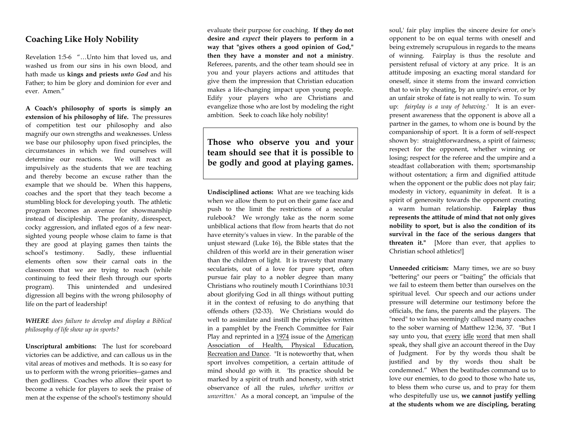## **Coaching Like Holy Nobility**

Revelation 1:5-6 "…Unto him that loved us, and washed us from our sins in his own blood, and hath made us **kings and priests** *unto God* and his Father; to him be glory and dominion for ever and ever. Amen."

**A Coach's philosophy of sports is simply an extension of his philosophy of life.** The pressures of competition test our philosophy and also magnify our own strengths and weaknesses. Unless we base our philosophy upon fixed principles, the circumstances in which we find ourselves will determine our reactions. We will react as impulsively as the students that we are teaching and thereby become an excuse rather than the example that we should be. When this happens, coaches and the sport that they teach become a stumbling block for developing youth. The athletic program becomes an avenue for showmanship instead of discipleship. The profanity, disrespect, cocky aggression, and inflated egos of a few nearsighted young people whose claim to fame is that they are good at playing games then taints the school's testimony. Sadly, these influential elements often sow their carnal oats in the classroom that we are trying to reach (while continuing to feed their flesh through our sports program). This unintended and undesired digression all begins with the wrong philosophy of life on the part of leadership!

## *WHERE does failure to develop and display a Biblical philosophy of life show up in sports?*

**Unscriptural ambitions:** The lust for scoreboard victories can be addictive, and can callous us in the vital areas of motives and methods. It is so easy for us to perform with the wrong priorities--games and then godliness. Coaches who allow their sport to become a vehicle for players to seek the praise of men at the expense of the school's testimony should

evaluate their purpose for coaching. **If they do not desire and** *expec<sup>t</sup>* **their players to perform in a way that "gives others a good opinion of God," then they have a monster and not a ministry**. Referees, parents, and the other team should see in you and your players actions and attitudes that give them the impression that Christian education makes a life-changing impact upon young people. Edify your players who are Christians and evangelize those who are lost by modeling the right ambition. Seek to coach like holy nobility!

**Those who observe you and your team should see that it is possible to be godly and good at playing games.** 

**Undisciplined actions:** What are we teaching kids when we allow them to put on their game face and push to the limit the restrictions of a secular rulebook? We wrongly take as the norm some unbiblical actions that flow from hearts that do not have eternity's values in view. In the parable of the unjust steward (Luke 16), the Bible states that the children of this world are in their generation wiser than the children of light. It is travesty that many secularists, out of a love for pure sport, often pursue fair play to a nobler degree than many Christians who routinely mouth I Corinthians 10:31 about glorifying God in all things without putting it in the context of refusing to do anything that offends others (32-33). We Christians would do well to assimilate and instill the principles written in a pamphlet by the French Committee for Fair Play and reprinted in a 1974 issue of the American Association of Health, Physical Education, Recreation and Dance. "It is noteworthy that, when sport involves competition, a certain attitude of mind should go with it. 'Its practice should be marked by a spirit of truth and honesty, with strict observance of all the rules, *whether written or unwritten.*' As a moral concept, an 'impulse of the

soul,' fair play implies the sincere desire for one's opponent to be on equal terms with oneself and being extremely scrupulous in regards to the means of winning. Fairplay is thus the resolute and persistent refusal of victory at any price. It is an attitude imposing an exacting moral standard for oneself, since it stems from the inward conviction that to win by cheating, by an umpire's error, or by an unfair stroke of fate is not really to win. To sum up: *fairplay is a way of behaving.'* It is an everpresent awareness that the opponent is above all a partner in the games, to whom one is bound by the companionship of sport. It is a form of self-respect shown by: straightforwardness, a spirit of fairness; respect for the opponent, whether winning or losing; respect for the referee and the umpire and a steadfast collaboration with them; sportsmanship without ostentation; a firm and dignified attitude when the opponent or the public does not play fair; modesty in victory, equanimity in defeat. It is a spirit of generosity towards the opponent creating a warm human relationship. **Fairplay thus represents the attitude of mind that not only gives nobility to sport, but is also the condition of its survival in the face of the serious dangers that threaten it."** [More than ever, that applies to Christian school athletics!]

**Unneeded criticism:** Many times, we are so busy "bettering" our peers or "baiting" the officials that we fail to esteem them better than ourselves on the spiritual level. Our speech and our actions under pressure will determine our testimony before the officials, the fans, the parents and the players. The "need" to win has seemingly callused many coaches to the sober warning of Matthew 12:36, 37. "But I say unto you, that every idle word that men shall speak, they shall give an account thereof in the Day of Judgment. For by thy words thou shalt be justified and by thy words thou shalt be condemned." When the beatitudes command us to love our enemies, to do good to those who hate us, to bless them who curse us, and to pray for them who despitefully use us, **we cannot justify yelling at the students whom we are discipling, berating**